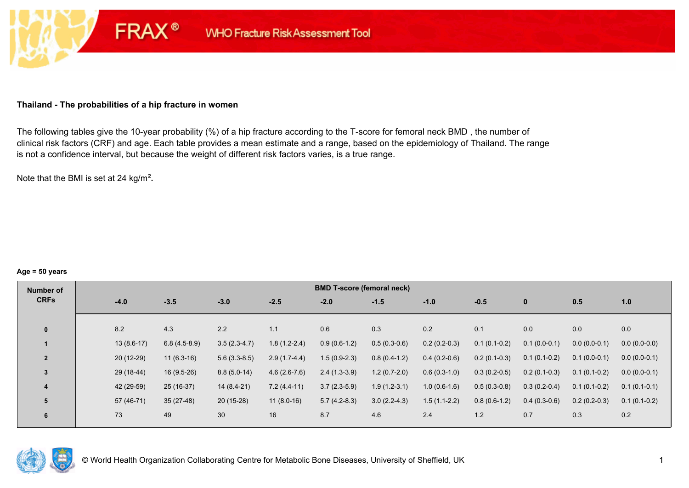### **Thailand - The probabilities of a hip fracture in women**

**FRAX®** 

The following tables give the 10-year probability (%) of a hip fracture according to the T-score for femoral neck BMD , the number of clinical risk factors (CRF) and age. Each table provides a mean estimate and a range, based on the epidemiology of Thailand. The range is not a confidence interval, but because the weight of different risk factors varies, is a true range.

Note that the BMI is set at 24 kg/m²**.** 

#### **Age = 50 years**

| Number of      |        |              |                |                |                | <b>BMD T-score (femoral neck)</b> |                |                |                |                |                |                |
|----------------|--------|--------------|----------------|----------------|----------------|-----------------------------------|----------------|----------------|----------------|----------------|----------------|----------------|
| <b>CRFs</b>    | $-4.0$ |              | $-3.5$         | $-3.0$         | $-2.5$         | $-2.0$                            | $-1.5$         | $-1.0$         | $-0.5$         | $\mathbf{0}$   | 0.5            | 1.0            |
|                |        |              |                |                |                |                                   |                |                |                |                |                |                |
| $\mathbf{0}$   | 8.2    |              | 4.3            | 2.2            | 1.1            | 0.6                               | 0.3            | 0.2            | 0.1            | 0.0            | 0.0            | 0.0            |
|                |        | $13(8.6-17)$ | $6.8(4.5-8.9)$ | $3.5(2.3-4.7)$ | $1.8(1.2-2.4)$ | $0.9(0.6-1.2)$                    | $0.5(0.3-0.6)$ | $0.2(0.2-0.3)$ | $0.1(0.1-0.2)$ | $0.1(0.0-0.1)$ | $0.0(0.0-0.1)$ | $0.0(0.0-0.0)$ |
| $\overline{2}$ |        | $20(12-29)$  | $11(6.3-16)$   | $5.6(3.3-8.5)$ | $2.9(1.7-4.4)$ | $1.5(0.9-2.3)$                    | $0.8(0.4-1.2)$ | $0.4(0.2-0.6)$ | $0.2(0.1-0.3)$ | $0.1(0.1-0.2)$ | $0.1(0.0-0.1)$ | $0.0(0.0-0.1)$ |
| 3              |        | $29(18-44)$  | $16(9.5-26)$   | $8.8(5.0-14)$  | $4.6(2.6-7.6)$ | $2.4(1.3-3.9)$                    | $1.2(0.7-2.0)$ | $0.6(0.3-1.0)$ | $0.3(0.2-0.5)$ | $0.2(0.1-0.3)$ | $0.1(0.1-0.2)$ | $0.0(0.0-0.1)$ |
| 4              |        | 42 (29-59)   | $25(16-37)$    | $14(8.4-21)$   | $7.2(4.4-11)$  | $3.7(2.3-5.9)$                    | $1.9(1.2-3.1)$ | $1.0(0.6-1.6)$ | $0.5(0.3-0.8)$ | $0.3(0.2-0.4)$ | $0.1(0.1-0.2)$ | $0.1(0.1-0.1)$ |
| 5              |        | 57 (46-71)   | $35(27-48)$    | $20(15-28)$    | $11(8.0-16)$   | $5.7(4.2-8.3)$                    | $3.0(2.2-4.3)$ | $1.5(1.1-2.2)$ | $0.8(0.6-1.2)$ | $0.4(0.3-0.6)$ | $0.2(0.2-0.3)$ | $0.1(0.1-0.2)$ |
| 6              | 73     |              | 49             | 30             | 16             | 8.7                               | 4.6            | 2.4            | 1.2            | 0.7            | 0.3            | 0.2            |

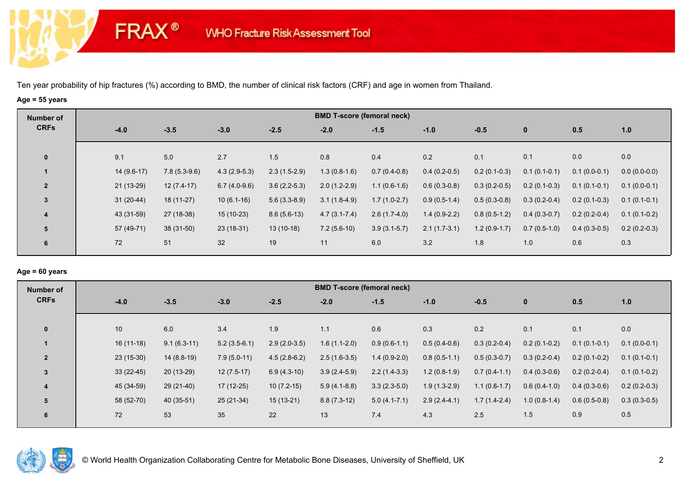**FRAX®** 

# **Age = 55 years**

| Number of      |        |              |                |                |                | <b>BMD T-score (femoral neck)</b> |                |                |                |                |                |                |
|----------------|--------|--------------|----------------|----------------|----------------|-----------------------------------|----------------|----------------|----------------|----------------|----------------|----------------|
| <b>CRFs</b>    | $-4.0$ |              | $-3.5$         | $-3.0$         | $-2.5$         | $-2.0$                            | $-1.5$         | $-1.0$         | $-0.5$         | $\bf{0}$       | 0.5            | 1.0            |
| $\mathbf 0$    | 9.1    |              | 5.0            | 2.7            | 1.5            | 0.8                               | 0.4            | 0.2            | 0.1            | 0.1            | 0.0            | 0.0            |
|                |        | $14(9.6-17)$ | $7.8(5.3-9.6)$ | $4.3(2.9-5.3)$ | $2.3(1.5-2.9)$ | $1.3(0.8-1.6)$                    | $0.7(0.4-0.8)$ | $0.4(0.2-0.5)$ | $0.2(0.1-0.3)$ | $0.1(0.1-0.1)$ | $0.1(0.0-0.1)$ | $0.0(0.0-0.0)$ |
| $\overline{2}$ |        | $21(13-29)$  | $12(7.4-17)$   | $6.7(4.0-9.6)$ | $3.6(2.2-5.3)$ | $2.0(1.2-2.9)$                    | $1.1(0.6-1.6)$ | $0.6(0.3-0.8)$ | $0.3(0.2-0.5)$ | $0.2(0.1-0.3)$ | $0.1(0.1-0.1)$ | $0.1(0.0-0.1)$ |
| 3              |        | $31(20-44)$  | $18(11-27)$    | $10(6.1-16)$   | $5.6(3.3-8.9)$ | $3.1(1.8-4.9)$                    | $1.7(1.0-2.7)$ | $0.9(0.5-1.4)$ | $0.5(0.3-0.8)$ | $0.3(0.2-0.4)$ | $0.2(0.1-0.3)$ | $0.1(0.1-0.1)$ |
| 4              |        | 43 (31-59)   | 27 (18-38)     | $15(10-23)$    | $8.6(5.6-13)$  | $4.7(3.1 - 7.4)$                  | $2.6(1.7-4.0)$ | $1.4(0.9-2.2)$ | $0.8(0.5-1.2)$ | $0.4(0.3-0.7)$ | $0.2(0.2-0.4)$ | $0.1(0.1-0.2)$ |
| 5              |        | 57 (49-71)   | 38 (31-50)     | $23(18-31)$    | $13(10-18)$    | $7.2(5.6-10)$                     | $3.9(3.1-5.7)$ | $2.1(1.7-3.1)$ | $1.2(0.9-1.7)$ | $0.7(0.5-1.0)$ | $0.4(0.3-0.5)$ | $0.2(0.2-0.3)$ |
| 6              | 72     |              | 51             | 32             | 19             | 11                                | 6.0            | 3.2            | 1.8            | 1.0            | 0.6            | 0.3            |

## **Age = 60 years**

| Number of      |             |               |                |                |                | <b>BMD T-score (femoral neck)</b> |                |                |                |                |                |
|----------------|-------------|---------------|----------------|----------------|----------------|-----------------------------------|----------------|----------------|----------------|----------------|----------------|
| <b>CRFs</b>    | $-4.0$      | $-3.5$        | $-3.0$         | $-2.5$         | $-2.0$         | $-1.5$                            | $-1.0$         | $-0.5$         | $\mathbf{0}$   | 0.5            | 1.0            |
| $\mathbf{0}$   | 10          | 6.0           | 3.4            | 1.9            | 1.1            | 0.6                               | 0.3            | 0.2            | 0.1            | 0.1            | 0.0            |
|                | $16(11-18)$ | $9.1(6.3-11)$ | $5.2(3.5-6.1)$ | $2.9(2.0-3.5)$ | $1.6(1.1-2.0)$ | $0.9(0.6-1.1)$                    | $0.5(0.4-0.6)$ | $0.3(0.2-0.4)$ | $0.2(0.1-0.2)$ | $0.1(0.1-0.1)$ | $0.1(0.0-0.1)$ |
| $\overline{2}$ | $23(15-30)$ | $14(8.8-19)$  | $7.9(5.0-11)$  | $4.5(2.8-6.2)$ | $2.5(1.6-3.5)$ | $1.4(0.9-2.0)$                    | $0.8(0.5-1.1)$ | $0.5(0.3-0.7)$ | $0.3(0.2-0.4)$ | $0.2(0.1-0.2)$ | $0.1(0.1-0.1)$ |
| $\overline{3}$ | $33(22-45)$ | 20 (13-29)    | $12(7.5-17)$   | $6.9(4.3-10)$  | $3.9(2.4-5.9)$ | $2.2(1.4-3.3)$                    | $1.2(0.8-1.9)$ | $0.7(0.4-1.1)$ | $0.4(0.3-0.6)$ | $0.2(0.2-0.4)$ | $0.1(0.1-0.2)$ |
| 4              | 45 (34-59)  | 29 (21-40)    | 17 (12-25)     | $10(7.2-15)$   | $5.9(4.1-8.8)$ | $3.3(2.3-5.0)$                    | $1.9(1.3-2.9)$ | $1.1(0.8-1.7)$ | $0.6(0.4-1.0)$ | $0.4(0.3-0.6)$ | $0.2(0.2-0.3)$ |
| 5              | 58 (52-70)  | 40 (35-51)    | $25(21-34)$    | $15(13-21)$    | $8.8(7.3-12)$  | $5.0(4.1-7.1)$                    | $2.9(2.4-4.1)$ | $1.7(1.4-2.4)$ | $1.0(0.8-1.4)$ | $0.6(0.5-0.8)$ | $0.3(0.3-0.5)$ |
| 6              | 72          | 53            | 35             | 22             | 13             | 7.4                               | 4.3            | 2.5            | 1.5            | 0.9            | 0.5            |

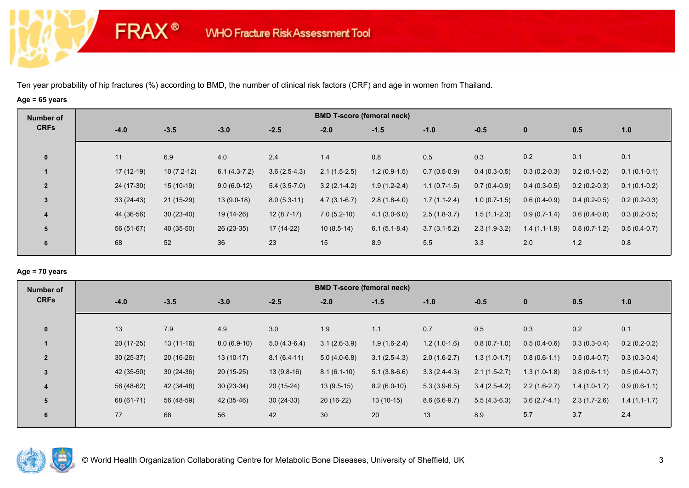**FRAX®** 

# **Age = 65 years**

| Number of      |             |              |             |                |                | <b>BMD T-score (femoral neck)</b> |                  |                |                |                |                |                |
|----------------|-------------|--------------|-------------|----------------|----------------|-----------------------------------|------------------|----------------|----------------|----------------|----------------|----------------|
| <b>CRFs</b>    | $-4.0$      | $-3.5$       | $-3.0$      | $-2.5$         |                | $-2.0$                            | $-1.5$           | $-1.0$         | $-0.5$         | $\bf{0}$       | 0.5            | 1.0            |
| $\mathbf 0$    | 11          | 6.9          | 4.0         | 2.4            |                | 1.4                               | 0.8              | 0.5            | 0.3            | 0.2            | 0.1            | 0.1            |
|                | $17(12-19)$ | $10(7.2-12)$ |             | $6.1(4.3-7.2)$ | $3.6(2.5-4.3)$ | $2.1(1.5-2.5)$                    | $1.2(0.9-1.5)$   | $0.7(0.5-0.9)$ | $0.4(0.3-0.5)$ | $0.3(0.2-0.3)$ | $0.2(0.1-0.2)$ | $0.1(0.1-0.1)$ |
| $\overline{2}$ | 24 (17-30)  | $15(10-19)$  |             | $9.0(6.0-12)$  | $5.4(3.5-7.0)$ | $3.2(2.1-4.2)$                    | $1.9(1.2-2.4)$   | $1.1(0.7-1.5)$ | $0.7(0.4-0.9)$ | $0.4(0.3-0.5)$ | $0.2(0.2-0.3)$ | $0.1(0.1-0.2)$ |
| 3              | $33(24-43)$ | $21(15-29)$  |             | $13(9.0-18)$   | $8.0(5.3-11)$  | $4.7(3.1-6.7)$                    | $2.8(1.8-4.0)$   | $1.7(1.1-2.4)$ | $1.0(0.7-1.5)$ | $0.6(0.4-0.9)$ | $0.4(0.2-0.5)$ | $0.2(0.2-0.3)$ |
| 4              | 44 (36-56)  | $30(23-40)$  | 19 (14-26)  |                | $12(8.7-17)$   | $7.0(5.2-10)$                     | $4.1(3.0-6.0)$   | $2.5(1.8-3.7)$ | $1.5(1.1-2.3)$ | $0.9(0.7-1.4)$ | $0.6(0.4-0.8)$ | $0.3(0.2-0.5)$ |
| 5              | 56 (51-67)  | 40 (35-50)   | $26(23-35)$ |                | 17 (14-22)     | $10(8.5-14)$                      | $6.1(5.1 - 8.4)$ | $3.7(3.1-5.2)$ | $2.3(1.9-3.2)$ | $1.4(1.1-1.9)$ | $0.8(0.7-1.2)$ | $0.5(0.4-0.7)$ |
| 6              | 68          | 52           | 36          | 23             | 15             |                                   | 8.9              | 5.5            | 3.3            | 2.0            | 1.2            | 0.8            |

### **Age = 70 years**

| Number of      |             |             |               |                | <b>BMD T-score (femoral neck)</b> |                |                |                |                |                |                |
|----------------|-------------|-------------|---------------|----------------|-----------------------------------|----------------|----------------|----------------|----------------|----------------|----------------|
| <b>CRFs</b>    | $-4.0$      | $-3.5$      | $-3.0$        | $-2.5$         | $-2.0$                            | $-1.5$         | $-1.0$         | $-0.5$         | $\mathbf{0}$   | 0.5            | 1.0            |
|                |             |             |               |                |                                   |                |                |                |                |                |                |
| $\mathbf{0}$   | 13          | 7.9         | 4.9           | 3.0            | 1.9                               | 1.1            | 0.7            | 0.5            | 0.3            | 0.2            | 0.1            |
|                | $20(17-25)$ | $13(11-16)$ | $8.0(6.9-10)$ | $5.0(4.3-6.4)$ | $3.1(2.6-3.9)$                    | $1.9(1.6-2.4)$ | $1.2(1.0-1.6)$ | $0.8(0.7-1.0)$ | $0.5(0.4-0.6)$ | $0.3(0.3-0.4)$ | $0.2(0.2-0.2)$ |
| $\overline{2}$ | $30(25-37)$ | $20(16-26)$ | $13(10-17)$   | $8.1(6.4-11)$  | $5.0(4.0-6.8)$                    | $3.1(2.5-4.3)$ | $2.0(1.6-2.7)$ | $1.3(1.0-1.7)$ | $0.8(0.6-1.1)$ | $0.5(0.4-0.7)$ | $0.3(0.3-0.4)$ |
| 3              | 42 (35-50)  | $30(24-36)$ | $20(15-25)$   | $13(9.8-16)$   | $8.1(6.1-10)$                     | $5.1(3.8-6.6)$ | $3.3(2.4-4.3)$ | $2.1(1.5-2.7)$ | $1.3(1.0-1.8)$ | $0.8(0.6-1.1)$ | $0.5(0.4-0.7)$ |
| 4              | 56 (48-62)  | 42 (34-48)  | $30(23-34)$   | $20(15-24)$    | $13(9.5-15)$                      | $8.2(6.0-10)$  | $5.3(3.9-6.5)$ | $3.4(2.5-4.2)$ | $2.2(1.6-2.7)$ | $1.4(1.0-1.7)$ | $0.9(0.6-1.1)$ |
| 5              | 68 (61-71)  | 56 (48-59)  | 42 (35-46)    | $30(24-33)$    | $20(16-22)$                       | $13(10-15)$    | $8.6(6.6-9.7)$ | $5.5(4.3-6.3)$ | $3.6(2.7-4.1)$ | $2.3(1.7-2.6)$ | $1.4(1.1-1.7)$ |
| 6              | 77          | 68          | 56            | 42             | 30                                | 20             | 13             | 8.9            | 5.7            | 3.7            | 2.4            |

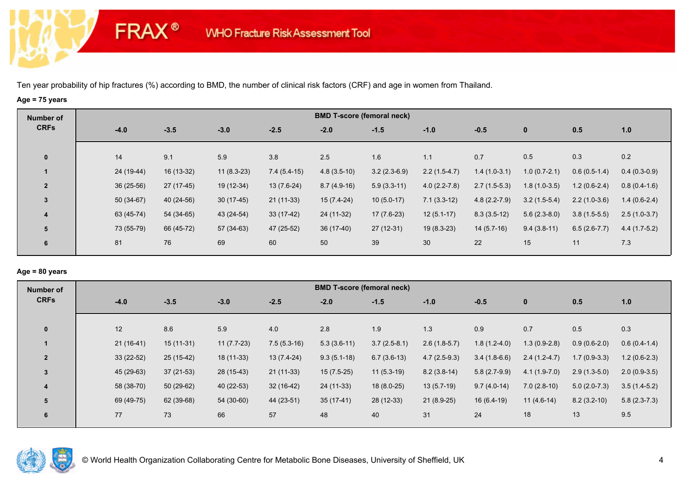**FRAX®** 

# **Age = 75 years**

| Number of      |        |             |             |              |               | <b>BMD T-score (femoral neck)</b> |                |                |                |                |                |                |
|----------------|--------|-------------|-------------|--------------|---------------|-----------------------------------|----------------|----------------|----------------|----------------|----------------|----------------|
| <b>CRFs</b>    | $-4.0$ |             | $-3.5$      | $-3.0$       | $-2.5$        | $-2.0$                            | $-1.5$         | $-1.0$         | $-0.5$         | $\bf{0}$       | 0.5            | 1.0            |
| $\mathbf 0$    | 14     |             | 9.1         | 5.9          | 3.8           | 2.5                               | 1.6            | 1.1            | 0.7            | 0.5            | 0.3            | 0.2            |
|                |        | 24 (19-44)  | $16(13-32)$ | $11(8.3-23)$ | $7.4(5.4-15)$ | $4.8(3.5-10)$                     | $3.2(2.3-6.9)$ | $2.2(1.5-4.7)$ | $1.4(1.0-3.1)$ | $1.0(0.7-2.1)$ | $0.6(0.5-1.4)$ | $0.4(0.3-0.9)$ |
| $\overline{2}$ |        | $36(25-56)$ | 27 (17-45)  | 19 (12-34)   | 13 (7.6-24)   | $8.7(4.9-16)$                     | $5.9(3.3-11)$  | $4.0(2.2-7.8)$ | $2.7(1.5-5.3)$ | $1.8(1.0-3.5)$ | $1.2(0.6-2.4)$ | $0.8(0.4-1.6)$ |
| $\overline{3}$ |        | $50(34-67)$ | 40 (24-56)  | $30(17-45)$  | $21(11-33)$   | $15(7.4-24)$                      | $10(5.0-17)$   | $7.1(3.3-12)$  | $4.8(2.2-7.9)$ | $3.2(1.5-5.4)$ | $2.2(1.0-3.6)$ | $1.4(0.6-2.4)$ |
| 4              |        | 63 (45-74)  | 54 (34-65)  | 43 (24-54)   | $33(17-42)$   | 24 (11-32)                        | $17(7.6-23)$   | $12(5.1-17)$   | $8.3(3.5-12)$  | $5.6(2.3-8.0)$ | $3.8(1.5-5.5)$ | $2.5(1.0-3.7)$ |
| 5              |        | 73 (55-79)  | 66 (45-72)  | 57 (34-63)   | 47 (25-52)    | 36 (17-40)                        | $27(12-31)$    | $19(8.3-23)$   | $14(5.7-16)$   | $9.4(3.8-11)$  | $6.5(2.6-7.7)$ | $4.4(1.7-5.2)$ |
| 6              | 81     |             | 76          | 69           | 60            | 50                                | 39             | 30             | 22             | 15             | 11             | 7.3            |
|                |        |             |             |              |               |                                   |                |                |                |                |                |                |

### **Age = 80 years**

| Number of      |             |             |              |               |               | <b>BMD T-score (femoral neck)</b> |                |                |                |                |                |
|----------------|-------------|-------------|--------------|---------------|---------------|-----------------------------------|----------------|----------------|----------------|----------------|----------------|
| <b>CRFs</b>    | $-4.0$      | $-3.5$      | $-3.0$       | $-2.5$        | $-2.0$        | $-1.5$                            | $-1.0$         | $-0.5$         | $\mathbf{0}$   | 0.5            | 1.0            |
|                |             |             |              |               |               |                                   |                |                |                |                |                |
| $\mathbf{0}$   | 12          | 8.6         | 5.9          | 4.0           | 2.8           | 1.9                               | 1.3            | 0.9            | 0.7            | 0.5            | 0.3            |
|                | $21(16-41)$ | $15(11-31)$ | $11(7.7-23)$ | $7.5(5.3-16)$ | $5.3(3.6-11)$ | $3.7(2.5-8.1)$                    | $2.6(1.8-5.7)$ | $1.8(1.2-4.0)$ | $1.3(0.9-2.8)$ | $0.9(0.6-2.0)$ | $0.6(0.4-1.4)$ |
| $\overline{2}$ | $33(22-52)$ | $25(15-42)$ | $18(11-33)$  | $13(7.4-24)$  | $9.3(5.1-18)$ | $6.7(3.6-13)$                     | $4.7(2.5-9.3)$ | $3.4(1.8-6.6)$ | $2.4(1.2-4.7)$ | $1.7(0.9-3.3)$ | $1.2(0.6-2.3)$ |
| $\overline{3}$ | 45 (29-63)  | $37(21-53)$ | 28 (15-43)   | $21(11-33)$   | $15(7.5-25)$  | $11(5.3-19)$                      | $8.2(3.8-14)$  | $5.8(2.7-9.9)$ | $4.1(1.9-7.0)$ | $2.9(1.3-5.0)$ | $2.0(0.9-3.5)$ |
| $\overline{4}$ | 58 (38-70)  | $50(29-62)$ | 40 (22-53)   | $32(16-42)$   | $24(11-33)$   | $18(8.0-25)$                      | $13(5.7-19)$   | $9.7(4.0-14)$  | $7.0(2.8-10)$  | $5.0(2.0-7.3)$ | $3.5(1.4-5.2)$ |
| 5              | 69 (49-75)  | 62 (39-68)  | 54 (30-60)   | 44 (23-51)    | $35(17-41)$   | 28 (12-33)                        | $21(8.9-25)$   | $16(6.4-19)$   | $11(4.6-14)$   | $8.2(3.2-10)$  | $5.8(2.3-7.3)$ |
| 6              | 77          | 73          | 66           | 57            | 48            | 40                                | 31             | 24             | 18             | 13             | 9.5            |
|                |             |             |              |               |               |                                   |                |                |                |                |                |